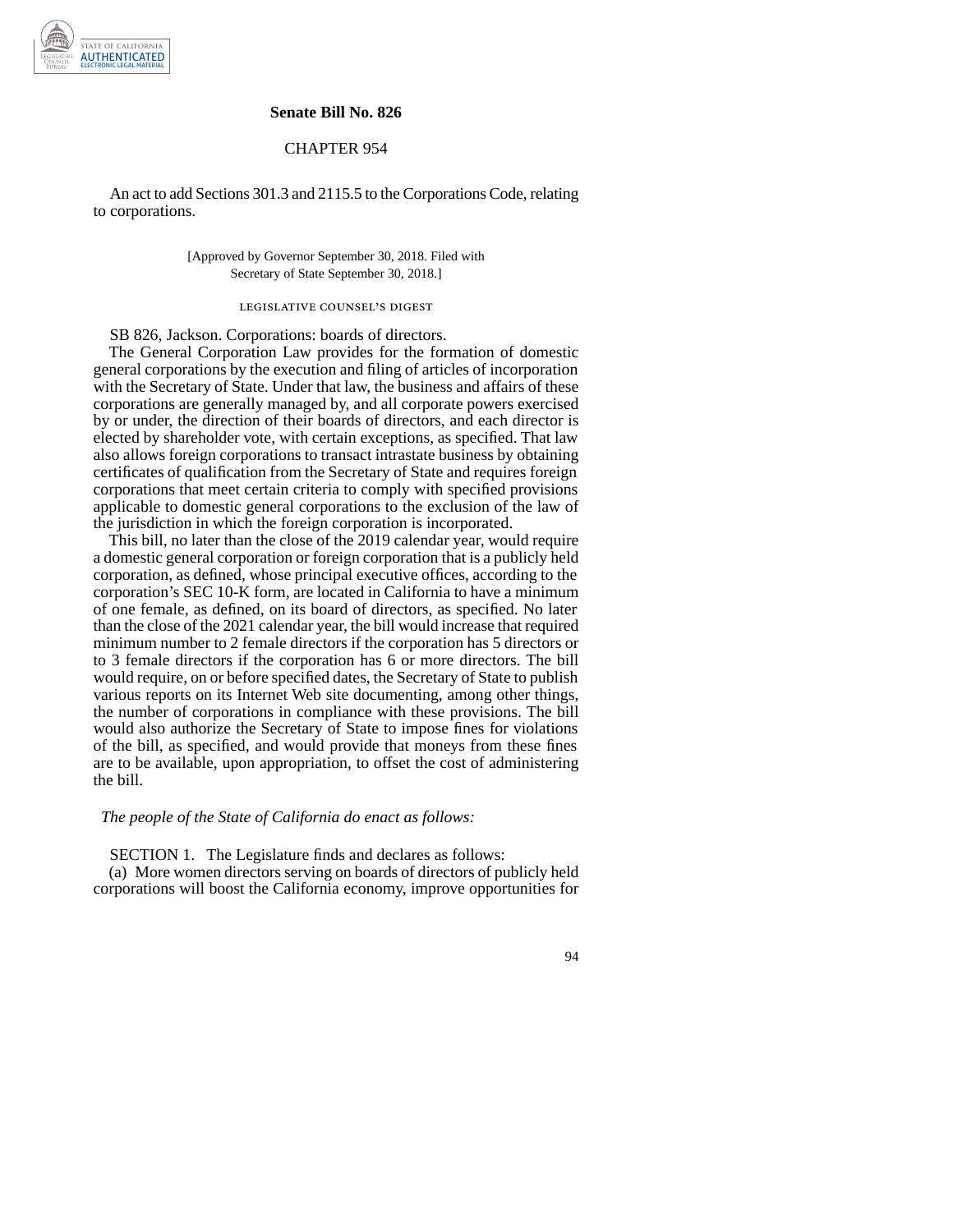

## **Senate Bill No. 826**

## CHAPTER 954

An act to add Sections 301.3 and 2115.5 to the Corporations Code, relating to corporations.

> [Approved by Governor September 30, 2018. Filed with Secretary of State September 30, 2018.]

## legislative counsel' s digest

SB 826, Jackson. Corporations: boards of directors.

The General Corporation Law provides for the formation of domestic general corporations by the execution and filing of articles of incorporation with the Secretary of State. Under that law, the business and affairs of these corporations are generally managed by, and all corporate powers exercised by or under, the direction of their boards of directors, and each director is elected by shareholder vote, with certain exceptions, as specified. That law also allows foreign corporations to transact intrastate business by obtaining certificates of qualification from the Secretary of State and requires foreign corporations that meet certain criteria to comply with specified provisions applicable to domestic general corporations to the exclusion of the law of the jurisdiction in which the foreign corporation is incorporated.

This bill, no later than the close of the 2019 calendar year, would require a domestic general corporation or foreign corporation that is a publicly held corporation, as defined, whose principal executive offices, according to the corporation's SEC 10-K form, are located in California to have a minimum of one female, as defined, on its board of directors, as specified. No later than the close of the 2021 calendar year, the bill would increase that required minimum number to 2 female directors if the corporation has 5 directors or to 3 female directors if the corporation has 6 or more directors. The bill would require, on or before specified dates, the Secretary of State to publish various reports on its Internet Web site documenting, among other things, the number of corporations in compliance with these provisions. The bill would also authorize the Secretary of State to impose fines for violations of the bill, as specified, and would provide that moneys from these fines are to be available, upon appropriation, to offset the cost of administering the bill.

## *The people of the State of California do enact as follows:*

SECTION 1. The Legislature finds and declares as follows:

(a) More women directors serving on boards of directors of publicly held corporations will boost the California economy, improve opportunities for

94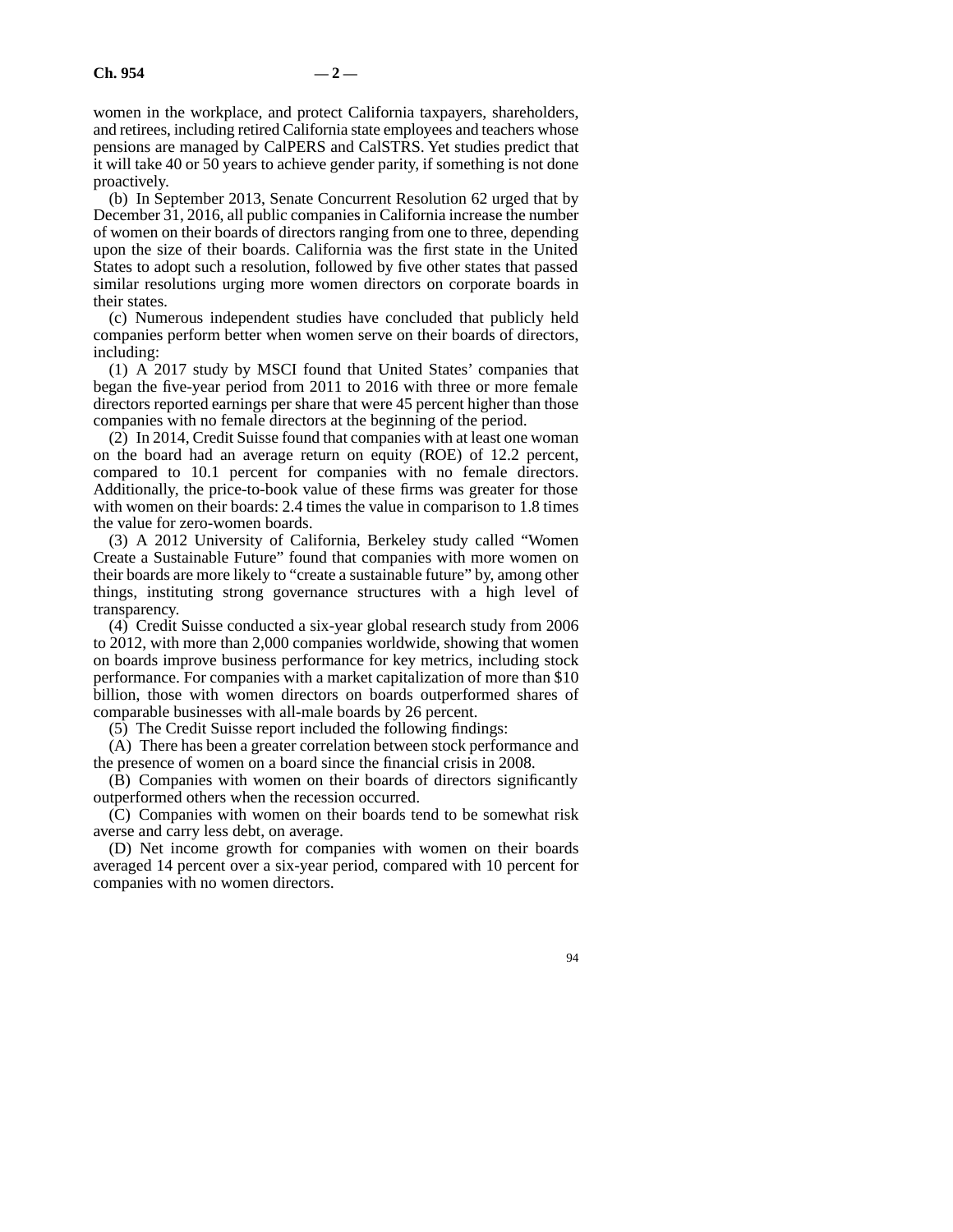women in the workplace, and protect California taxpayers, shareholders, and retirees, including retired California state employees and teachers whose pensions are managed by CalPERS and CalSTRS. Yet studies predict that it will take 40 or 50 years to achieve gender parity, if something is not done proactively.

(b) In September 2013, Senate Concurrent Resolution 62 urged that by December 31, 2016, all public companies in California increase the number of women on their boards of directors ranging from one to three, depending upon the size of their boards. California was the first state in the United States to adopt such a resolution, followed by five other states that passed similar resolutions urging more women directors on corporate boards in their states.

(c) Numerous independent studies have concluded that publicly held companies perform better when women serve on their boards of directors, including:

(1) A 2017 study by MSCI found that United States' companies that began the five-year period from 2011 to 2016 with three or more female directors reported earnings per share that were 45 percent higher than those companies with no female directors at the beginning of the period.

(2) In 2014, Credit Suisse found that companies with at least one woman on the board had an average return on equity (ROE) of 12.2 percent, compared to 10.1 percent for companies with no female directors. Additionally, the price-to-book value of these firms was greater for those with women on their boards: 2.4 times the value in comparison to 1.8 times the value for zero-women boards.

(3) A 2012 University of California, Berkeley study called "Women Create a Sustainable Future" found that companies with more women on their boards are more likely to "create a sustainable future" by, among other things, instituting strong governance structures with a high level of transparency.

(4) Credit Suisse conducted a six-year global research study from 2006 to 2012, with more than 2,000 companies worldwide, showing that women on boards improve business performance for key metrics, including stock performance. For companies with a market capitalization of more than \$10 billion, those with women directors on boards outperformed shares of comparable businesses with all-male boards by 26 percent.

(5) The Credit Suisse report included the following findings:

(A) There has been a greater correlation between stock performance and the presence of women on a board since the financial crisis in 2008.

(B) Companies with women on their boards of directors significantly outperformed others when the recession occurred.

(C) Companies with women on their boards tend to be somewhat risk averse and carry less debt, on average.

(D) Net income growth for companies with women on their boards averaged 14 percent over a six-year period, compared with 10 percent for companies with no women directors.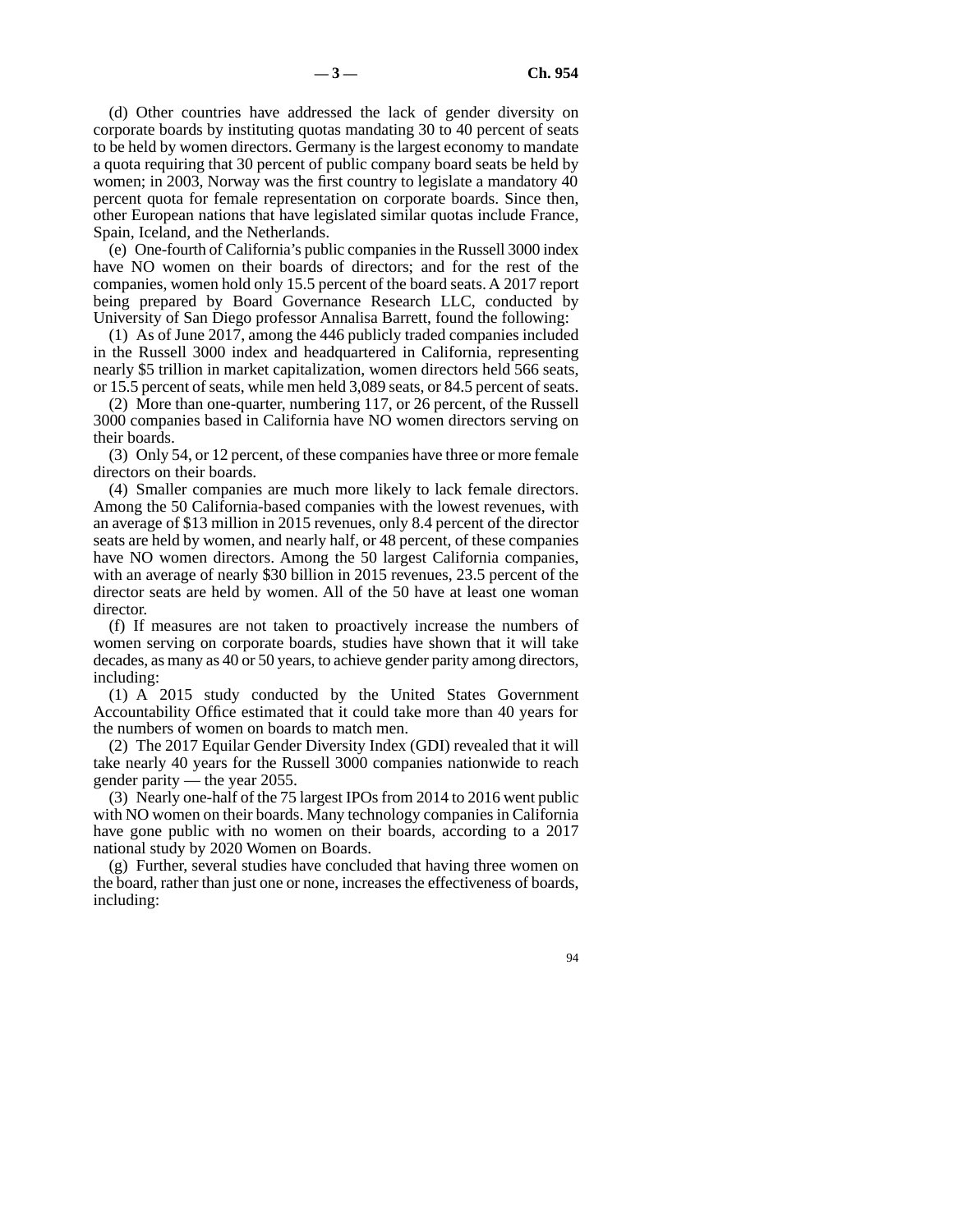(d) Other countries have addressed the lack of gender diversity on corporate boards by instituting quotas mandating 30 to 40 percent of seats to be held by women directors. Germany is the largest economy to mandate a quota requiring that 30 percent of public company board seats be held by women; in 2003, Norway was the first country to legislate a mandatory 40 percent quota for female representation on corporate boards. Since then, other European nations that have legislated similar quotas include France, Spain, Iceland, and the Netherlands.

(e) One-fourth of California's public companies in the Russell 3000 index have NO women on their boards of directors; and for the rest of the companies, women hold only 15.5 percent of the board seats. A 2017 report being prepared by Board Governance Research LLC, conducted by University of San Diego professor Annalisa Barrett, found the following:

(1) As of June 2017, among the 446 publicly traded companies included in the Russell 3000 index and headquartered in California, representing nearly \$5 trillion in market capitalization, women directors held 566 seats, or 15.5 percent of seats, while men held 3,089 seats, or 84.5 percent of seats.

(2) More than one-quarter, numbering 117, or 26 percent, of the Russell 3000 companies based in California have NO women directors serving on their boards.

(3) Only 54, or 12 percent, of these companies have three or more female directors on their boards.

(4) Smaller companies are much more likely to lack female directors. Among the 50 California-based companies with the lowest revenues, with an average of \$13 million in 2015 revenues, only 8.4 percent of the director seats are held by women, and nearly half, or 48 percent, of these companies have NO women directors. Among the 50 largest California companies, with an average of nearly \$30 billion in 2015 revenues, 23.5 percent of the director seats are held by women. All of the 50 have at least one woman director.

(f) If measures are not taken to proactively increase the numbers of women serving on corporate boards, studies have shown that it will take decades, as many as 40 or 50 years, to achieve gender parity among directors, including:

(1) A 2015 study conducted by the United States Government Accountability Office estimated that it could take more than 40 years for the numbers of women on boards to match men.

(2) The 2017 Equilar Gender Diversity Index (GDI) revealed that it will take nearly 40 years for the Russell 3000 companies nationwide to reach gender parity — the year 2055.

(3) Nearly one-half of the 75 largest IPOs from 2014 to 2016 went public with NO women on their boards. Many technology companies in California have gone public with no women on their boards, according to a 2017 national study by 2020 Women on Boards.

(g) Further, several studies have concluded that having three women on the board, rather than just one or none, increases the effectiveness of boards, including:

94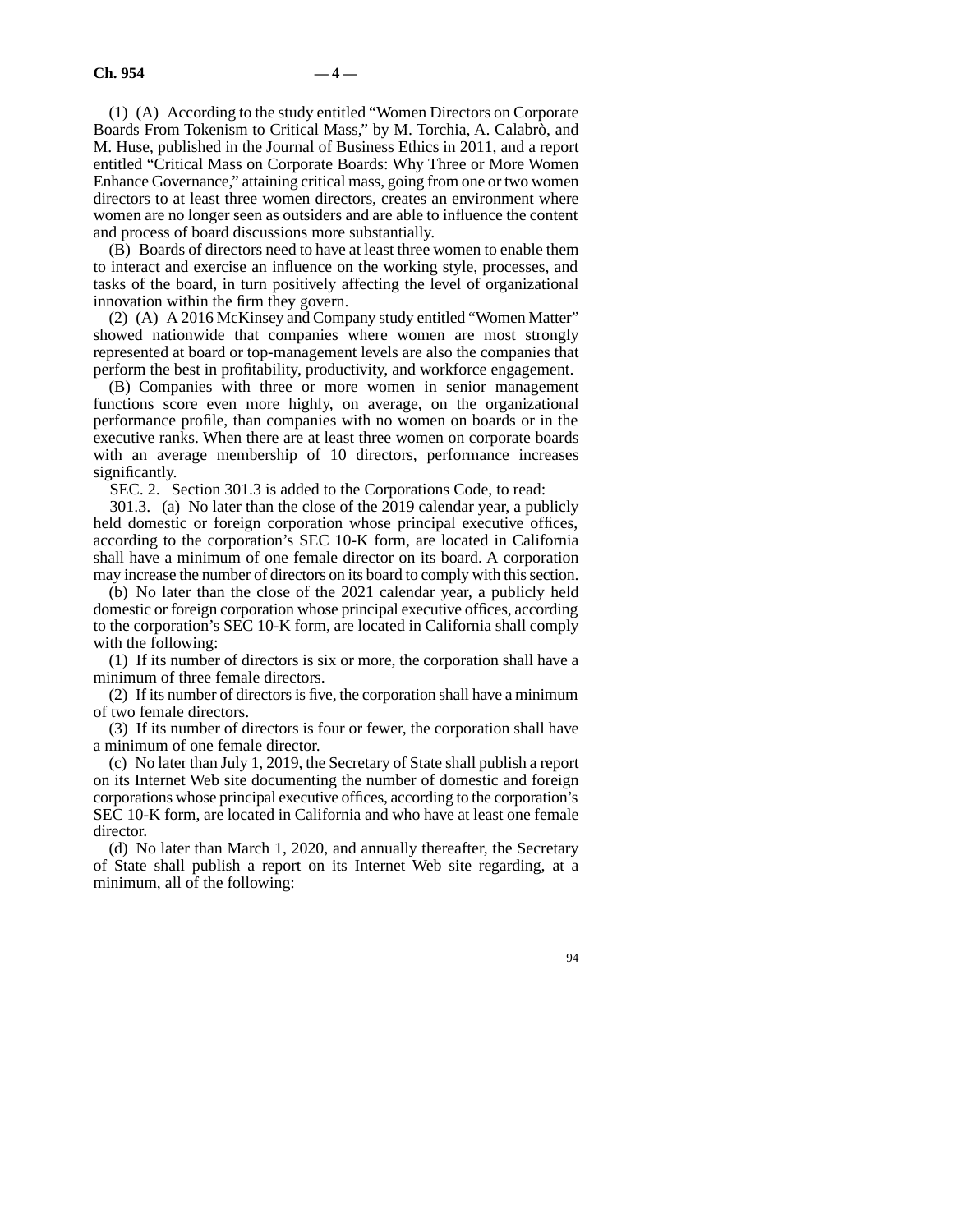(1) (A) According to the study entitled "Women Directors on Corporate Boards From Tokenism to Critical Mass," by M. Torchia, A. Calabrò, and M. Huse, published in the Journal of Business Ethics in 2011, and a report entitled "Critical Mass on Corporate Boards: Why Three or More Women Enhance Governance," attaining critical mass, going from one or two women directors to at least three women directors, creates an environment where women are no longer seen as outsiders and are able to influence the content and process of board discussions more substantially.

(B) Boards of directors need to have at least three women to enable them to interact and exercise an influence on the working style, processes, and tasks of the board, in turn positively affecting the level of organizational innovation within the firm they govern.

(2) (A) A 2016 McKinsey and Company study entitled "Women Matter" showed nationwide that companies where women are most strongly represented at board or top-management levels are also the companies that perform the best in profitability, productivity, and workforce engagement.

(B) Companies with three or more women in senior management functions score even more highly, on average, on the organizational performance profile, than companies with no women on boards or in the executive ranks. When there are at least three women on corporate boards with an average membership of 10 directors, performance increases significantly.

SEC. 2. Section 301.3 is added to the Corporations Code, to read:

301.3. (a) No later than the close of the 2019 calendar year, a publicly held domestic or foreign corporation whose principal executive offices, according to the corporation's SEC 10-K form, are located in California shall have a minimum of one female director on its board. A corporation may increase the number of directors on its board to comply with this section.

(b) No later than the close of the 2021 calendar year, a publicly held domestic or foreign corporation whose principal executive offices, according to the corporation's SEC 10-K form, are located in California shall comply with the following:

(1) If its number of directors is six or more, the corporation shall have a minimum of three female directors.

(2) If its number of directors is five, the corporation shall have a minimum of two female directors.

(3) If its number of directors is four or fewer, the corporation shall have a minimum of one female director.

(c) No later than July 1, 2019, the Secretary of State shall publish a report on its Internet Web site documenting the number of domestic and foreign corporations whose principal executive offices, according to the corporation's SEC 10-K form, are located in California and who have at least one female director.

(d) No later than March 1, 2020, and annually thereafter, the Secretary of State shall publish a report on its Internet Web site regarding, at a minimum, all of the following: